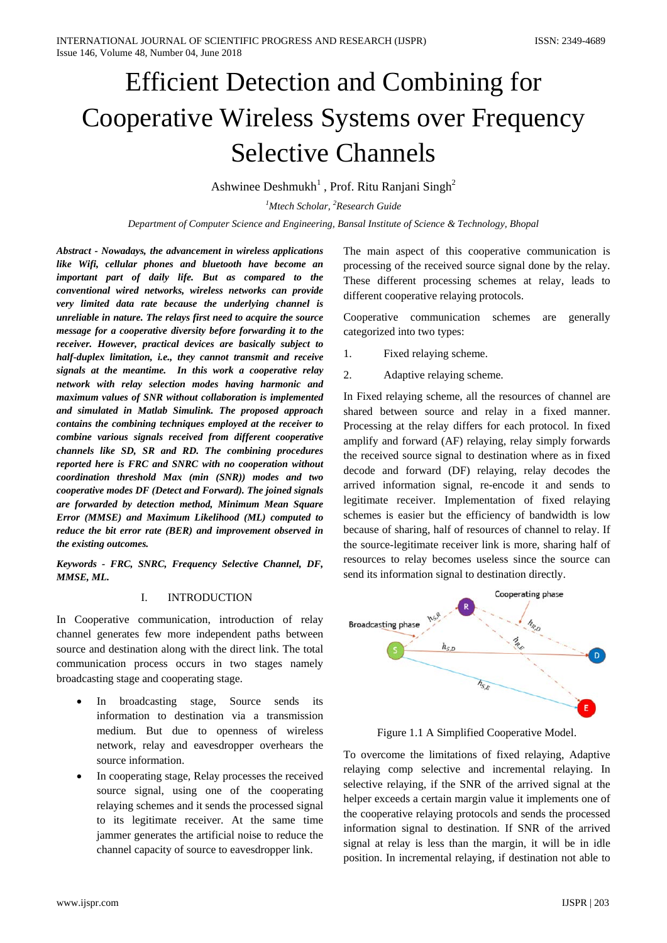# Efficient Detection and Combining for Cooperative Wireless Systems over Frequency Selective Channels

Ashwinee Deshmukh<sup>1</sup>, Prof. Ritu Ranjani Singh<sup>2</sup>

*1 Mtech Scholar, 2 Research Guide*

*Department of Computer Science and Engineering, Bansal Institute of Science & Technology, Bhopal*

*Abstract - Nowadays, the advancement in wireless applications like Wifi, cellular phones and bluetooth have become an important part of daily life. But as compared to the conventional wired networks, wireless networks can provide very limited data rate because the underlying channel is unreliable in nature. The relays first need to acquire the source message for a cooperative diversity before forwarding it to the receiver. However, practical devices are basically subject to half-duplex limitation, i.e., they cannot transmit and receive signals at the meantime. In this work a cooperative relay network with relay selection modes having harmonic and maximum values of SNR without collaboration is implemented and simulated in Matlab Simulink. The proposed approach contains the combining techniques employed at the receiver to combine various signals received from different cooperative channels like SD, SR and RD. The combining procedures reported here is FRC and SNRC with no cooperation without coordination threshold Max (min (SNR)) modes and two cooperative modes DF (Detect and Forward). The joined signals are forwarded by detection method, Minimum Mean Square Error (MMSE) and Maximum Likelihood (ML) computed to reduce the bit error rate (BER) and improvement observed in the existing outcomes.*

*Keywords - FRC, SNRC, Frequency Selective Channel, DF, MMSE, ML.*

### I. INTRODUCTION

In Cooperative communication, introduction of relay channel generates few more independent paths between source and destination along with the direct link. The total communication process occurs in two stages namely broadcasting stage and cooperating stage.

- In broadcasting stage, Source sends its information to destination via a transmission medium. But due to openness of wireless network, relay and eavesdropper overhears the source information.
- In cooperating stage, Relay processes the received source signal, using one of the cooperating relaying schemes and it sends the processed signal to its legitimate receiver. At the same time jammer generates the artificial noise to reduce the channel capacity of source to eavesdropper link.

The main aspect of this cooperative communication is processing of the received source signal done by the relay. These different processing schemes at relay, leads to different cooperative relaying protocols.

Cooperative communication schemes are generally categorized into two types:

- 1. Fixed relaying scheme.
- 2. Adaptive relaying scheme.

In Fixed relaying scheme, all the resources of channel are shared between source and relay in a fixed manner. Processing at the relay differs for each protocol. In fixed amplify and forward (AF) relaying, relay simply forwards the received source signal to destination where as in fixed decode and forward (DF) relaying, relay decodes the arrived information signal, re-encode it and sends to legitimate receiver. Implementation of fixed relaying schemes is easier but the efficiency of bandwidth is low because of sharing, half of resources of channel to relay. If the source-legitimate receiver link is more, sharing half of resources to relay becomes useless since the source can send its information signal to destination directly.



Figure 1.1 A Simplified Cooperative Model.

To overcome the limitations of fixed relaying, Adaptive relaying comp selective and incremental relaying. In selective relaying, if the SNR of the arrived signal at the helper exceeds a certain margin value it implements one of the cooperative relaying protocols and sends the processed information signal to destination. If SNR of the arrived signal at relay is less than the margin, it will be in idle position. In incremental relaying, if destination not able to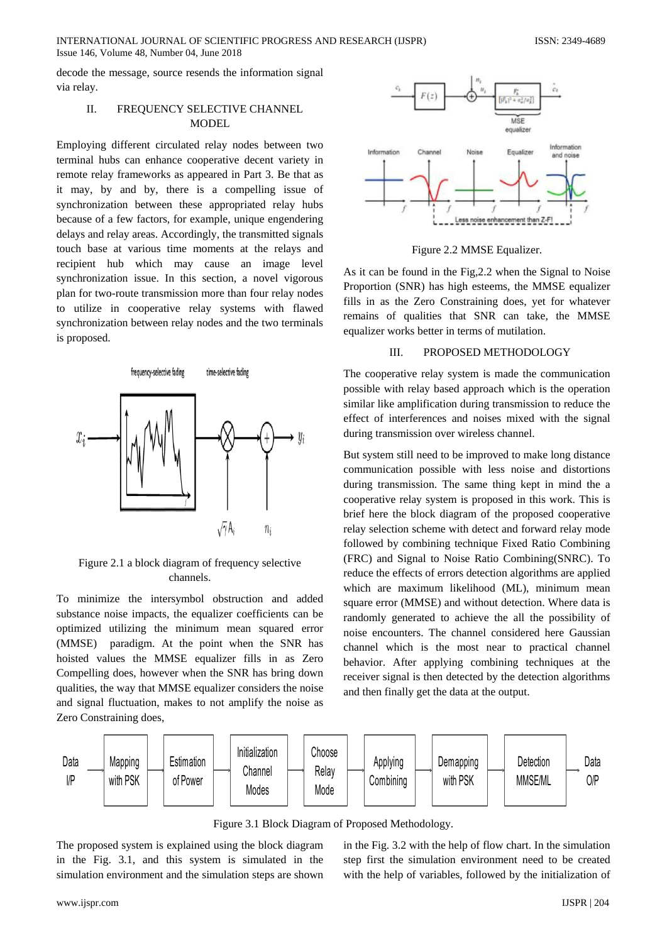INTERNATIONAL JOURNAL OF SCIENTIFIC PROGRESS AND RESEARCH (IJSPR) ISSN: 2349-4689 Issue 146, Volume 48, Number 04, June 2018

decode the message, source resends the information signal via relay.

# II. FREQUENCY SELECTIVE CHANNEL MODEL

Employing different circulated relay nodes between two terminal hubs can enhance cooperative decent variety in remote relay frameworks as appeared in Part 3. Be that as it may, by and by, there is a compelling issue of synchronization between these appropriated relay hubs because of a few factors, for example, unique engendering delays and relay areas. Accordingly, the transmitted signals touch base at various time moments at the relays and recipient hub which may cause an image level synchronization issue. In this section, a novel vigorous plan for two-route transmission more than four relay nodes to utilize in cooperative relay systems with flawed synchronization between relay nodes and the two terminals is proposed.



Figure 2.1 a block diagram of frequency selective channels.

To minimize the intersymbol obstruction and added substance noise impacts, the equalizer coefficients can be optimized utilizing the minimum mean squared error (MMSE) paradigm. At the point when the SNR has hoisted values the MMSE equalizer fills in as Zero Compelling does, however when the SNR has bring down qualities, the way that MMSE equalizer considers the noise and signal fluctuation, makes to not amplify the noise as Zero Constraining does,



Figure 2.2 MMSE Equalizer.

As it can be found in the Fig,2.2 when the Signal to Noise Proportion (SNR) has high esteems, the MMSE equalizer fills in as the Zero Constraining does, yet for whatever remains of qualities that SNR can take, the MMSE equalizer works better in terms of mutilation.

#### III. PROPOSED METHODOLOGY

The cooperative relay system is made the communication possible with relay based approach which is the operation similar like amplification during transmission to reduce the effect of interferences and noises mixed with the signal during transmission over wireless channel.

But system still need to be improved to make long distance communication possible with less noise and distortions during transmission. The same thing kept in mind the a cooperative relay system is proposed in this work. This is brief here the block diagram of the proposed cooperative relay selection scheme with detect and forward relay mode followed by combining technique Fixed Ratio Combining (FRC) and Signal to Noise Ratio Combining(SNRC). To reduce the effects of errors detection algorithms are applied which are maximum likelihood (ML), minimum mean square error (MMSE) and without detection. Where data is randomly generated to achieve the all the possibility of noise encounters. The channel considered here Gaussian channel which is the most near to practical channel behavior. After applying combining techniques at the receiver signal is then detected by the detection algorithms and then finally get the data at the output.



Figure 3.1 Block Diagram of Proposed Methodology.

The proposed system is explained using the block diagram in the Fig. 3.1, and this system is simulated in the simulation environment and the simulation steps are shown

in the Fig. 3.2 with the help of flow chart. In the simulation step first the simulation environment need to be created with the help of variables, followed by the initialization of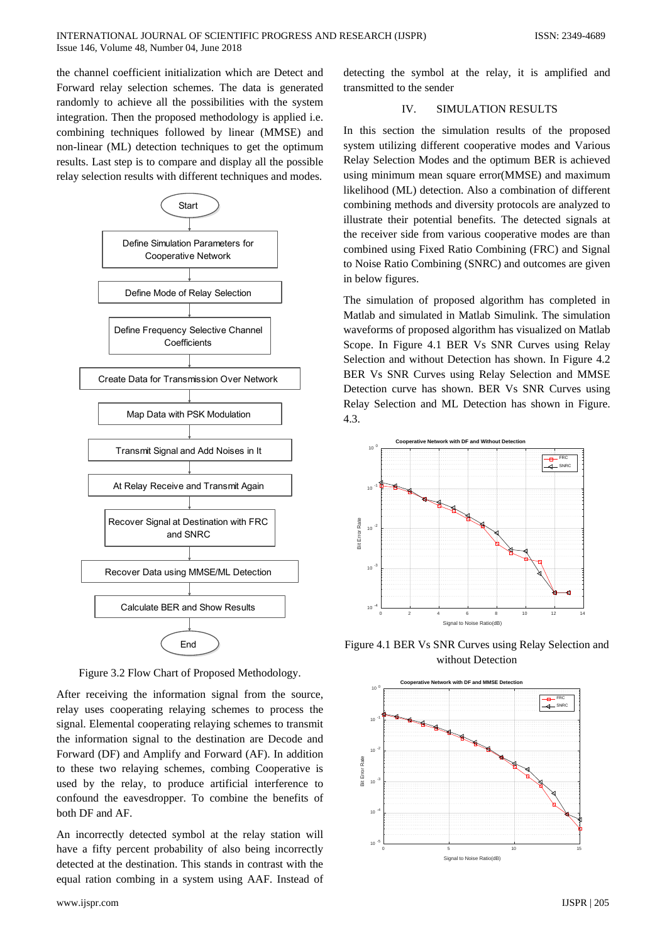the channel coefficient initialization which are Detect and Forward relay selection schemes. The data is generated randomly to achieve all the possibilities with the system integration. Then the proposed methodology is applied i.e. combining techniques followed by linear (MMSE) and non-linear (ML) detection techniques to get the optimum results. Last step is to compare and display all the possible relay selection results with different techniques and modes.



Figure 3.2 Flow Chart of Proposed Methodology.

After receiving the information signal from the source, relay uses cooperating relaying schemes to process the signal. Elemental cooperating relaying schemes to transmit the information signal to the destination are Decode and Forward (DF) and Amplify and Forward (AF). In addition to these two relaying schemes, combing Cooperative is used by the relay, to produce artificial interference to confound the eavesdropper. To combine the benefits of both DF and AF.

An incorrectly detected symbol at the relay station will have a fifty percent probability of also being incorrectly detected at the destination. This stands in contrast with the equal ration combing in a system using AAF. Instead of

detecting the symbol at the relay, it is amplified and transmitted to the sender

## IV. SIMULATION RESULTS

In this section the simulation results of the proposed system utilizing different cooperative modes and Various Relay Selection Modes and the optimum BER is achieved using minimum mean square error(MMSE) and maximum likelihood (ML) detection. Also a combination of different combining methods and diversity protocols are analyzed to illustrate their potential benefits. The detected signals at the receiver side from various cooperative modes are than combined using Fixed Ratio Combining (FRC) and Signal to Noise Ratio Combining (SNRC) and outcomes are given in below figures.

The simulation of proposed algorithm has completed in Matlab and simulated in Matlab Simulink. The simulation waveforms of proposed algorithm has visualized on Matlab Scope. In Figure 4.1 BER Vs SNR Curves using Relay Selection and without Detection has shown. In Figure 4.2 BER Vs SNR Curves using Relay Selection and MMSE Detection curve has shown. BER Vs SNR Curves using Relay Selection and ML Detection has shown in Figure. 4.3.



Figure 4.1 BER Vs SNR Curves using Relay Selection and without Detection